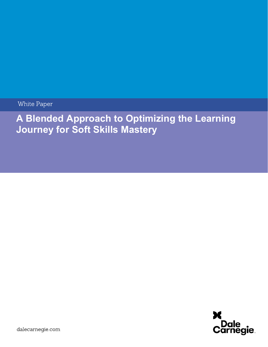White Paper

# A Blended Approach to Optimizing the Learning Journey for Soft Skills Mastery

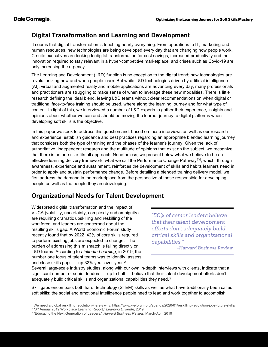#### Digital Transformation and Learning and Development

It seems that digital transformation is touching nearly everything. From operations to IT, marketing and human resources, new technologies are being developed every day that are changing how people work. C-suite executives are looking to digital transformation for cost savings, increased productivity and the innovation required to stay relevant in a hyper-competitive marketplace, and crises such as Covid-19 are only increasing the urgency.

The Learning and Development (L&D) function is no exception to the digital trend; new technologies are revolutionizing how and when people learn. But while L&D technologies driven by artificial intelligence (AI), virtual and augmented reality and mobile applications are advancing every day, many professionals and practitioners are struggling to make sense of when to leverage these new modalities. There is little research defining the ideal blend, leaving L&D teams without clear recommendations on when digital or traditional face-to-face training should be used, where along the learning journey and for what type of content. In light of this, we interviewed a number of L&D experts to gather their experience, insights and opinions about whether we can and should be moving the learner journey to digital platforms when developing soft skills is the objective.

In this paper we seek to address this question and, based on those interviews as well as our research and experience, establish guidance and best practices regarding an appropriate blended learning journey that considers both the type of training and the phases of the learner's journey. Given the lack of authoritative, independent research and the multitude of opinions that exist on the subject, we recognize that there is no one-size-fits-all approach. Nonetheless, we present below what we believe to be an effective learning delivery framework, what we call the Performance Change Pathway™, which, through awareness, experience and sustainment, reinforces the development of skills and habits learners need in order to apply and sustain performance change. Before detailing a blended training delivery model, we first address the demand in the marketplace from the perspective of those responsible for developing people as well as the people they are developing.

# Organizational Needs for Talent Development

Widespread digitial transformation and the impact of VUCA (volatility, uncertainty, complexity and ambiguity) are requiring dramatic upskilling and reskilling of the workforce, and leaders are concerned about the resulting skills gap. A World Economic Forum study recently found that by 2022, 42% of core skills required to perform existing jobs are expected to change.<sup>1</sup> The burden of addressing this mismatch is falling directly on L&D teams. According to LinkedIn Learning, in 2019, the number one focus of talent teams was to identify, assess and close skills gaps — up 32% year-over-year.<sup>2</sup>

"50% of senior leaders believe that their talent development efforts don't adequately build critical skills and organizational capabilities."

-Harvard Business Review

Several large-scale industry studies, along with our own in-depth interviews with clients, indicate that a significant number of senior leaders — up to half — believe that their talent development efforts don't adequately build critical skills and organizational capabilities they need. $3$ 

Skill gaps encompass both hard, technology (STEM) skills as well as what have traditionally been called soft skills: the social and emotional intelligence people need to lead and work together to accomplish

<sup>&</sup>lt;sup>1</sup> We need a global reskilling revolution–here's why. https://www.weforum.org/agenda/2020/01/reskilling-revolution-jobs-future-skills/

<sup>&</sup>lt;sup>2</sup> "3<sup>rd</sup> Annual 2019 Workplace Learning Report," Learning LinkedIn, 2019

<sup>&</sup>lt;sup>3</sup> "Educating the Next Generation of Leaders," Harvard Business Review, March-April 2019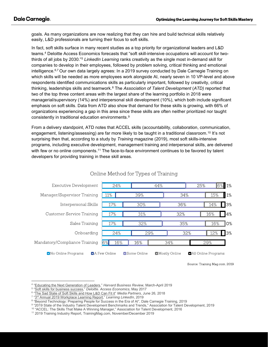goals. As many organizations are now realizing that they can hire and build technical skills relatively easily, L&D professionals are turning their focus to soft skills.

In fact, soft skills surface in many recent studies as a top priority for organizational leaders and L&D teams.<sup>4</sup> Deloitte Access Economics forecasts that "soft skill-intensive occupations will account for twothirds of all jobs by 2030."<sup>5</sup> LinkedIn Learning ranks creativity as the single most in-demand skill for companies to develop in their employees, followed by problem solving, critical thinking and emotional intelligence.6,7 Our own data largely agrees: In a 2019 survey conducted by Dale Carnegie Training on which skills will be needed as more employees work alongside AI, nearly seven in 10 VP-level and above respondents identified communications skills as particularly important, followed by creativity, critical thinking, leaderships skills and teamwork.<sup>8</sup> The *Association of Talent Development (ATD)* reported that two of the top three content areas with the largest share of the learning portfolio in 2018 were managerial/supervisory (14%) and interpersonal skill development (10%), which both include significant emphasis on soft skills. Data from ATD also show that demand for these skills is growing, with 66% of organizations experiencing a gap in this area since these skills are often neither prioritized nor taught consistently in traditional education environments.<sup>9</sup>

From a delivery standpoint, ATD notes that ACCEL skills (accountability, collaboration, communication, engagement, listening/assessing) are far more likely to be taught in a traditional classroom.<sup>10</sup> It's not surprising then that, according to a study by Training magazine (2019), most soft skills-intensive programs, including executive development, management training and interpersonal skills, are delivered with few or no online components.<sup>11</sup> The face-to-face environment continues to be favored by talent developers for providing training in these skill areas.



#### Online Method for Types of Training

Source: Training Mag.com, 2019

<sup>4</sup> "Educating the Next Generation of Leaders," Harvard Business Review, March-April 2019

<sup>5</sup> "Soft skills for business success," Deloitte. Access Economics, May 2017

<sup>6</sup> "The Sad State of Soft Skills and How L&D Can Fit it" Media Partners, June 26, 2018

<sup>&</sup>lt;sup>7</sup> "3<sup>rd</sup> Annual 2019 Workplace Learning Report," *Learning LinkedIn*, 2019

<sup>&</sup>lt;sup>8</sup> "Beyond Technology: Preparing People for Success in the Era of AI", Dale Carnegie Training, 2019

<sup>9</sup> "2019 State of the Industry Talent Development Benchmarks and Trends," Association for Talent Development, 2019

<sup>10</sup> "ACCEL: The Skills That Make A Winning Manager," Association for Talent Development, 2016

<sup>11</sup> 2019 Training Industry Report, TrainingMag.com, November/December 2019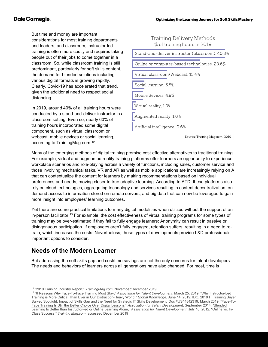But time and money are important considerations for most training departments and leaders, and classroom, instructor-led training is often more costly and requires taking people out of their jobs to come together in a classroom. So, while classroom training is still predominant, particularly for soft skills content, the demand for blended solutions including various digital formats is growing rapidly. Clearly, Covid-19 has accelerated that trend, given the additional need to respect social distancing.

In 2019, around 40% of all training hours were conducted by a stand-and-deliver instructor in a classroom setting. Even so, nearly 60% of training hours incorporated some digital component, such as virtual classroom or webcast, mobile devices or social learning, according to TrainingMag.com.<sup>12</sup>



Many of the emerging methods of digital training promise cost-effective alternatives to traditional training. For example, virtual and augmented reality training platforms offer learners an opportunity to experience workplace scenarios and role-playing across a variety of functions, including sales, customer service and those involving mechanical tasks. VR and AR as well as mobile applications are increasingly relying on AI that can contextualize the content for learners by making recommendations based on individual preferences and needs, moving closer to true adaptive learning. According to ATD, these platforms also rely on cloud technologies, aggregating technology and services resulting in content decentralization, ondemand access to information stored on remote servers, and big data that can now be leveraged to gain more insight into employees' learning outcomes.

Yet there are some practical limitations to many digital modalities when utilized without the support of an in-person facilitator.<sup>13</sup> For example, the cost effectiveness of virtual training programs for some types of training may be over-estimated if they fail to fully engage learners: Anonymity can result in passive or disingenuous participation. If employees aren't fully engaged, retention suffers, resulting in a need to retrain, which increases the costs. Nevertheless, these types of developments provide L&D professionals important options to consider.

### Needs of the Modern Learner

But addressing the soft skills gap and cost/time savings are not the only concerns for talent developers. The needs and behaviors of learners across all generations have also changed. For most, time is

<sup>&</sup>lt;sup>12</sup> "2019 Training Industry Report," TrainingMag.com, November/December 2019

<sup>&</sup>lt;sup>13</sup> "6 Reasons Why Face-To-Face Training Must Stay," Association for Talent Development, March 25, 2019; "Why Instructor-Led Training is More Critical Than Ever in Our Distraction-Heavy World," Global Knowledge, June 14, 2019; IDC, 2019 IT Training Buyer Survey Spotlight: Impact of Skills Gap and the Need for Strategic IT Skills Development, Doc #US44842319, March 2019; "Face-To-Face Training Is Still the Better Choice Over Digital Lessons," Association for Talent Development, September 2014; "Blended Learning Is Better than Instructor-led or Online Learning Alone," Association for Talent Development, July 16, 2012; "Online vs. In-Class Success," Training Mag.com, accessed December 2019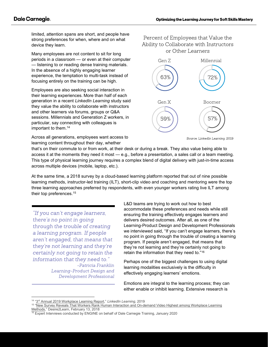limited, attention spans are short, and people have strong preferences for when, where and on what device they learn.

Many employees are not content to sit for long periods in a classroom — or even at their computer — listening to or reading dense training materials. In the absence of a highly engaging learner experience, the temptation to multi-task instead of focusing entirely on the training can be high.

Employees are also seeking social interaction in their learning experiences. More than half of each generation in a recent LinkedIn Learning study said they value the ability to collaborate with instructors and other learners via forums, groups or Q&A sessions. Millennials and Generation Z workers, in particular, say connecting with colleagues is important to them.<sup>14</sup>

Across all generations, employees want access to learning content throughout their day, whether





Source: LinkedIn Learning, 2019

that's on their commute to or from work, at their desk or during a break. They also value being able to access it at the moments they need it most — e.g., before a presentation, a sales call or a team meeting. This type of physical learning journey requires a complex blend of digital delivery with just-in-time access across multiple devices (mobile, laptop, etc.).

At the same time, a 2018 survey by a cloud-based learning platform reported that out of nine possible learning methods, instructor-led training (ILT), short-clip video and coaching and mentoring were the top three learning approaches preferred by respondents, with even younger workers rating live ILT among their top preferences.<sup>15</sup>

"If you can't engage learners, there's no point in going through the trouble of creating a learning program. If people aren't engaged, that means that they're not learning and they're certainly not going to retain the information that they need to."

-Patricia Franklin Learning-Product Design and Development Professional

L&D teams are trying to work out how to best accommodate these preferences and needs while still ensuring the training effectively engages learners and delivers desired outcomes. After all, as one of the Learning-Product Design and Development Professionals we interviewed said, "If you can't engage learners, there's no point in going through the trouble of creating a learning program. If people aren't engaged, that means that they're not learning and they're certainly not going to retain the information that they need to."<sup>16</sup>

Perhaps one of the biggest challenges to using digital learning modalities exclusively is the difficulty in effectively engaging learners' emotions.

Emotions are integral to the learning process; they can either enable or inhibit learning. Extensive research is

<sup>14 &</sup>quot;3<sup>rd</sup> Annual 2019 Workplace Learning Report," LinkedIn Learning, 2019

<sup>&</sup>lt;sup>15</sup> "New Survey Reveals That Workers Rank Human Interaction and On-demand Video Highest among Workplace Learning Methods," Desire2Learn, February 13, 2018

 $16$  Expert Interviews conducted by ENGINE on behalf of Dale Carnegie Training, January 2020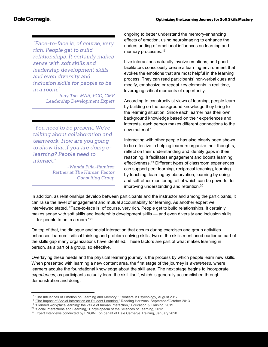"Face-to-face is, of course, very rich. People get to build relationships. It certainly makes sense with soft skills and leadership development skills and even diversity and inclusion skills for people to be in a room."

> - Judy Tso, MAA, PCC, CMF Leadership Development Expert

"You need to be present. We're talking about collaboration and teamwork. How are you going to show that if you are doing elearning? People need to interact."

> -Wanda Piña-Ramírez Partner at The Human Factor **Consulting Group**

ongoing to better understand the memory-enhancing effects of emotion, using neuroimaging to enhance the understanding of emotional influences on learning and memory processes.<sup>17</sup>

Live interactions naturally involve emotions, and good facilitators consciously create a learning environment that evokes the emotions that are most helpful in the learning process. They can read participants' non-verbal cues and modify, emphasize or repeat key elements in real time, leveraging critical moments of opportunity.

According to constructivist views of learning, people learn by building on the background knowledge they bring to the learning situation. Since each learner has their own background knowledge based on their experiences and interests, each person makes different connections to the new material.<sup>18</sup>

Interacting with other people has also clearly been shown to be effective in helping learners organize their thoughts, reflect on their understanding and identify gaps in their reasoning. It facilitates engagement and boosts learning effectiveness.<sup>19</sup> Different types of classroom experiences can support peer learning, reciprocal teaching, learning by teaching, learning by observation, learning by doing and self-other monitoring, all of which can be powerful for improving understanding and retention.<sup>20</sup>

In addition, as relationships develop between participants and the instructor and among the participants, it can raise the level of engagement and mutual accountability for learning. As another expert we interviewed stated, "Face-to-face is, of course, very rich. People get to build relationships. It certainly makes sense with soft skills and leadership development skills — and even diversity and inclusion skills — for people to be in a room."<sup>21</sup>

On top of that, the dialogue and social interaction that occurs during exercises and group activities enhances learners' critical thinking and problem-solving skills, two of the skills mentioned earlier as part of the skills gap many organizations have identified. These factors are part of what makes learning in person, as a part of a group, so effective.

Overlaying these needs and the physical learning journey is the process by which people learn new skills. When presented with learning a new content area, the first stage of the journey is *awareness*, where learners acquire the foundational knowledge about the skill area. The next stage begins to incorporate experiences, as participants actually learn the skill itself, which is generally accomplished through demonstration and doing.

<sup>&</sup>lt;sup>17</sup> "The Influences of Emotion on Learning and Memory," Frontiers in Psychology, August 2017

<sup>&</sup>lt;sup>18</sup> "The Impact of Social Interaction on Student Learning," Reading Horizons, September/October 2013

<sup>19</sup> "Blended workplace learning: the value of human interaction," Education & Training, 2019

<sup>&</sup>lt;sup>20</sup> "Social Interactions and Learning," Encyclopedia of the Sciences of Learning, 2012

<sup>&</sup>lt;sup>21</sup> Expert Interviews conducted by ENGINE on behalf of Dale Carnegie Training, January 2020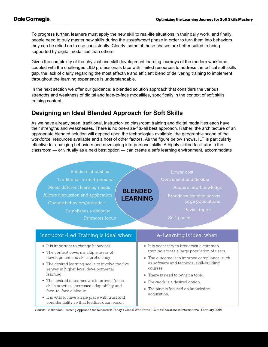To progress further, learners must apply the new skill to real-life situations in their daily work, and finally, people need to truly master new skills during the sustainment phase in order to turn them into behaviors they can be relied on to use consistently. Clearly, some of these phases are better suited to being supported by digital modalities than others.

Given the complexity of the physical and skill development learning journeys of the modern workforce, coupled with the challenges L&D professionals face with limited resources to address the critical soft skills gap, the lack of clarity regarding the most effective and efficient blend of delivering training to implement throughout the learning experience is understandable.

In the next section we offer our guidance: a blended solution approach that considers the various strengths and weakness of digital and face-to-face modalities, specifically in the context of soft skills training content.

#### Designing an Ideal Blended Approach for Soft Skills

As we have already seen, traditional, instructor-led classroom training and digital modalities each have their strengths and weaknesses. There is no one-size-fits-all best approach. Rather, the architecture of an appropriate blended solution will depend upon the technologies available, the geographic scope of the workforce, resources available and a host of other factors. As the figure below shows, ILT is particularly effective for changing behaviors and developing interpersonal skills. A highly skilled facilitator in the classroom — or virtually as a next best option — can create a safe learning environment, accommodate

| Builds relationships<br>Traditional, formal, personal<br>Meets different learning needs<br>Allows discussion and application<br>Change behaviors/attitudes<br>Establishes a dialoque<br>Promotes focus                                                                                                                                                                                                                                                      | Lower cost<br>Convenient and flexible<br>Acquire new knowledge<br><b>BLENDED</b><br>Broadcast training across<br><b>LEARNING</b><br>large populations<br>Revisit topics<br>Self-paced                                                                                                                                           |
|-------------------------------------------------------------------------------------------------------------------------------------------------------------------------------------------------------------------------------------------------------------------------------------------------------------------------------------------------------------------------------------------------------------------------------------------------------------|---------------------------------------------------------------------------------------------------------------------------------------------------------------------------------------------------------------------------------------------------------------------------------------------------------------------------------|
| Instructor-Led Training is ideal when:                                                                                                                                                                                                                                                                                                                                                                                                                      | e-Learning is ideal when:                                                                                                                                                                                                                                                                                                       |
| • It is important to change behaviors.<br>• The content covers multiple areas of<br>development and skills proficiency.<br>• The desired learning seeks to involve the five<br>senses in higher level developmental<br>learning.<br>• The desired outcomes are improved focus,<br>skills practice, increased adaptability and<br>face-to-face dialogue.<br>• It is vital to have a safe place with trust and<br>confidentiality so that feedback can occur. | • It is necessary to broadcast a common<br>training across a large population of users.<br>• The outcome is to improve compliance, such<br>as software and technical skill-building<br>courses.<br>• There is need to revisit a topic.<br>• Pre-work is a desired option.<br>• Training is focused on knowledge<br>acquisition. |

Source: "A Blended Learning Approach for Success in Today's Global Workforce", Cultural Awareness International, February 2016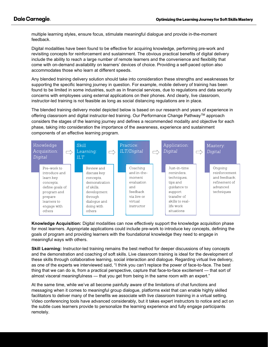multiple learning styles, ensure focus, stimulate meaningful dialogue and provide in-the-moment feedback.

Digital modalities have been found to be effective for acquiring knowledge, performing pre-work and revisiting concepts for reinforcement and sustainment. The obvious practical benefits of digital delivery include the ability to reach a large number of remote learners and the convenience and flexibility that come with on-demand availability on learners' devices of choice. Providing a self-paced option also accommodates those who learn at different speeds.

Any blended training delivery solution should take into consideration these strengths and weaknesses for supporting the specific learning journey in question. For example, mobile delivery of training has been found to be limited in some industries, such as in financial services, due to regulations and data security concerns with employees using external applications on their phones. And clearly, live classroom, instructor-led training is not feasible as long as social distancing regulations are in place.

The blended training delivery model depicted below is based on our research and years of experience in offering classroom and digital instructor-led training. Our Performance Change Pathway™ approach considers the stages of the learning journey and defines a recommended modality and objective for each phase, taking into consideration the importance of the awareness, experience and sustainment components of an effective learning program.



Knowledge Acquisition: Digital modalities can now effectively support the knowledge acquisition phase for most learners. Appropriate applications could include pre-work to introduce key concepts, defining the goals of program and providing learners with the foundational knowledge they need to engage in meaningful ways with others.

Skill Learning: Instructor-led training remains the best method for deeper discussions of key concepts and the demonstration and coaching of soft skills. Live classroom training is ideal for the development of these skills through collaborative learning, social interaction and dialogue. Regarding virtual live delivery, as one of the experts we interviewed said, "I think you can't replace the power of face-to-face. The best thing that we can do is, from a practical perspective, capture that face-to-face excitement — that sort of almost visceral meaningfulness — that you get from being in the same room with an expert."

At the same time, while we've all become painfully aware of the limitations of chat functions and messaging when it comes to meaningful group dialogue, platforms exist that can enable highly skilled facilitators to deliver many of the benefits we associate with live classroom training in a virtual setting. Video conferencing tools have advanced considerably, but it takes expert instructors to notice and act on the subtle cues learners provide to personalize the learning experience and fully engage participants remotely.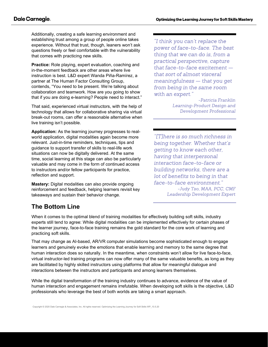Additionally, creating a safe learning environment and establishing trust among a group of people online takes experience. Without that trust, though, leaners won't ask questions freely or feel comfortable with the vulnerability that comes with practicing new skills.

Practice: Role playing, expert evaluation, coaching and in-the-moment feedback are other areas where live instruction is best. L&D expert Wanda Piña-Ramírez, a partner at The Human Factor Consulting Group, contends, "You need to be present. We're talking about collaboration and teamwork. How are you going to show that if you are doing e-learning? People need to interact."

That said, experienced virtual instructors, with the help of technology that allows for collaborative sharing via virtual break-out rooms, can offer a reasonable alternative when live training isn't possible.

Application: As the learning journey progresses to realworld application, digital modalities again become more relevant. Just-in-time reminders, techniques, tips and guidance to support transfer of skills to real-life work situations can now be digitally delivered. At the same time, social learning at this stage can also be particularly valuable and may come in the form of continued access to instructors and/or fellow participants for practice, reflection and support.

Mastery: Digital modalities can also provide ongoing reinforcement and feedback, helping learners revisit key takeaways and sustain their behavior change.

# The Bottom Line

"I think you can't replace the power of face-to-face. The best thing that we can do is, from a practical perspective, capture that face-to-face excitement  $$ that sort of almost visceral meaningfulness - that you get from being in the same room with an expert."

> -Patricia Franklin Learning-Product Design and Development Professional

"[T]here is so much richness in being together. Whether that's getting to know each other, having that interpersonal interaction face-to-face or building networks, there are a lot of benefits to being in that face-to-face environment." -Judy Tso, MAA, PCC, CMF Leadership Development Expert

When it comes to the optimal blend of training modalities for effectively building soft skills, industry experts still tend to agree: While digital modalities can be implemented effectively for certain phases of the learner journey, face-to-face training remains the gold standard for the core work of learning and practicing soft skills.

That may change as AI-based, AR/VR computer simulations become sophisticated enough to engage learners and genuinely evoke the emotions that enable learning and memory to the same degree that human interaction does so naturally. In the meantime, when constraints won't allow for live face-to-face, virtual instructor-led training programs can now offer many of the same valuable benefits, as long as they are facilitated by highly skilled instructors using platforms that allow for meaningful dialogue and interactions between the instructors and participants and among learners themselves.

While the digital transformation of the training industry continues to advance, evidence of the value of human interaction and engagement remains irrefutable. When developing soft skills is the objective, L&D professionals who leverage the best of both worlds are taking a smart approach.